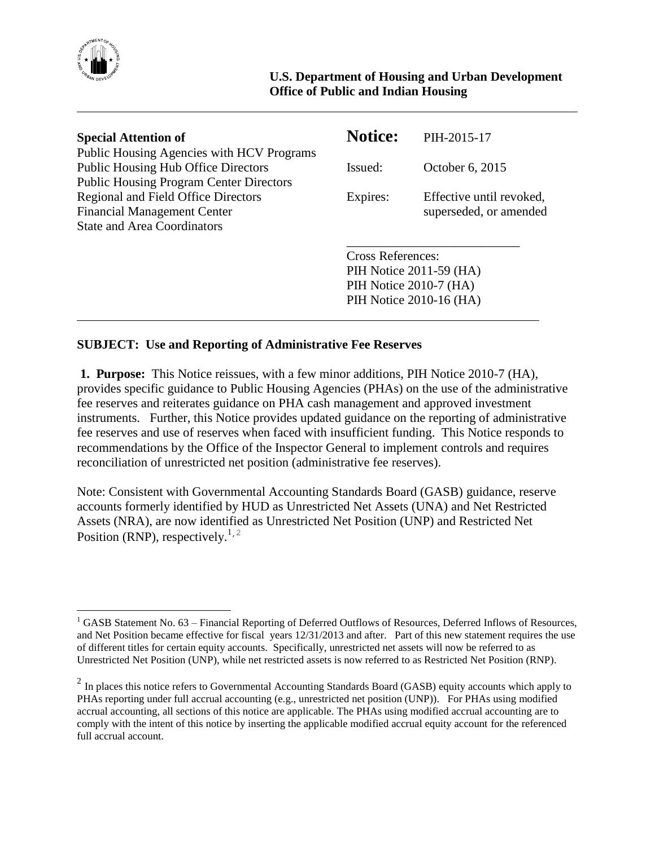

 $\overline{a}$ 

| <b>Special Attention of</b>                                                                                                               | <b>Notice:</b>                                                                                           | PIH-2015-17                                        |
|-------------------------------------------------------------------------------------------------------------------------------------------|----------------------------------------------------------------------------------------------------------|----------------------------------------------------|
| Public Housing Agencies with HCV Programs<br><b>Public Housing Hub Office Directors</b><br><b>Public Housing Program Center Directors</b> | Issued:                                                                                                  | October 6, 2015                                    |
| <b>Regional and Field Office Directors</b><br><b>Financial Management Center</b><br><b>State and Area Coordinators</b>                    | Expires:                                                                                                 | Effective until revoked,<br>superseded, or amended |
|                                                                                                                                           | <b>Cross References:</b><br>PIH Notice 2011-59 (HA)<br>PIH Notice 2010-7 (HA)<br>PIH Notice 2010-16 (HA) |                                                    |

## **SUBJECT: Use and Reporting of Administrative Fee Reserves**

**1. Purpose:** This Notice reissues, with a few minor additions, PIH Notice 2010-7 (HA), provides specific guidance to Public Housing Agencies (PHAs) on the use of the administrative fee reserves and reiterates guidance on PHA cash management and approved investment instruments. Further, this Notice provides updated guidance on the reporting of administrative fee reserves and use of reserves when faced with insufficient funding. This Notice responds to recommendations by the Office of the Inspector General to implement controls and requires reconciliation of unrestricted net position (administrative fee reserves).

Note: Consistent with Governmental Accounting Standards Board (GASB) guidance, reserve accounts formerly identified by HUD as Unrestricted Net Assets (UNA) and Net Restricted Assets (NRA), are now identified as Unrestricted Net Position (UNP) and Restricted Net Position (RNP), respectively.<sup>1,2</sup>

<sup>&</sup>lt;sup>1</sup> GASB Statement No. 63 – Financial Reporting of Deferred Outflows of Resources, Deferred Inflows of Resources, and Net Position became effective for fiscal years 12/31/2013 and after. Part of this new statement requires the use of different titles for certain equity accounts. Specifically, unrestricted net assets will now be referred to as Unrestricted Net Position (UNP), while net restricted assets is now referred to as Restricted Net Position (RNP).

 $2$  In places this notice refers to Governmental Accounting Standards Board (GASB) equity accounts which apply to PHAs reporting under full accrual accounting (e.g., unrestricted net position (UNP)). For PHAs using modified accrual accounting, all sections of this notice are applicable. The PHAs using modified accrual accounting are to comply with the intent of this notice by inserting the applicable modified accrual equity account for the referenced full accrual account.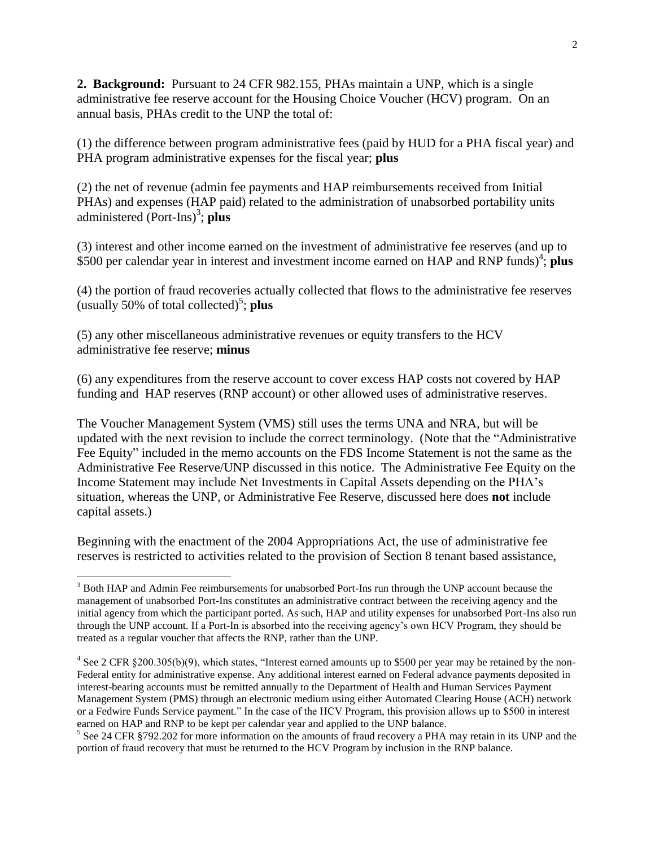**2. Background:** Pursuant to 24 CFR 982.155, PHAs maintain a UNP, which is a single administrative fee reserve account for the Housing Choice Voucher (HCV) program. On an annual basis, PHAs credit to the UNP the total of:

(1) the difference between program administrative fees (paid by HUD for a PHA fiscal year) and PHA program administrative expenses for the fiscal year; **plus**

(2) the net of revenue (admin fee payments and HAP reimbursements received from Initial PHAs) and expenses (HAP paid) related to the administration of unabsorbed portability units administered (Port-Ins)<sup>3</sup>; plus

(3) interest and other income earned on the investment of administrative fee reserves (and up to \$500 per calendar year in interest and investment income earned on HAP and RNP funds)<sup>4</sup>; plus

(4) the portion of fraud recoveries actually collected that flows to the administrative fee reserves  $($ usually 50% of total collected $)$ <sup>5</sup>; plus

(5) any other miscellaneous administrative revenues or equity transfers to the HCV administrative fee reserve; **minus**

(6) any expenditures from the reserve account to cover excess HAP costs not covered by HAP funding and HAP reserves (RNP account) or other allowed uses of administrative reserves.

The Voucher Management System (VMS) still uses the terms UNA and NRA, but will be updated with the next revision to include the correct terminology. (Note that the "Administrative Fee Equity" included in the memo accounts on the FDS Income Statement is not the same as the Administrative Fee Reserve/UNP discussed in this notice. The Administrative Fee Equity on the Income Statement may include Net Investments in Capital Assets depending on the PHA's situation, whereas the UNP, or Administrative Fee Reserve, discussed here does **not** include capital assets.)

Beginning with the enactment of the 2004 Appropriations Act, the use of administrative fee reserves is restricted to activities related to the provision of Section 8 tenant based assistance,

 $\overline{a}$ 

<sup>&</sup>lt;sup>3</sup> Both HAP and Admin Fee reimbursements for unabsorbed Port-Ins run through the UNP account because the management of unabsorbed Port-Ins constitutes an administrative contract between the receiving agency and the initial agency from which the participant ported. As such, HAP and utility expenses for unabsorbed Port-Ins also run through the UNP account. If a Port-In is absorbed into the receiving agency's own HCV Program, they should be treated as a regular voucher that affects the RNP, rather than the UNP.

 $4$  See 2 CFR §200.305(b)(9), which states, "Interest earned amounts up to \$500 per year may be retained by the non-Federal entity for administrative expense. Any additional interest earned on Federal advance payments deposited in interest-bearing accounts must be remitted annually to the Department of Health and Human Services Payment Management System (PMS) through an electronic medium using either Automated Clearing House (ACH) network or a Fedwire Funds Service payment." In the case of the HCV Program, this provision allows up to \$500 in interest earned on HAP and RNP to be kept per calendar year and applied to the UNP balance.

<sup>&</sup>lt;sup>5</sup> See 24 CFR §792.202 for more information on the amounts of fraud recovery a PHA may retain in its UNP and the portion of fraud recovery that must be returned to the HCV Program by inclusion in the RNP balance.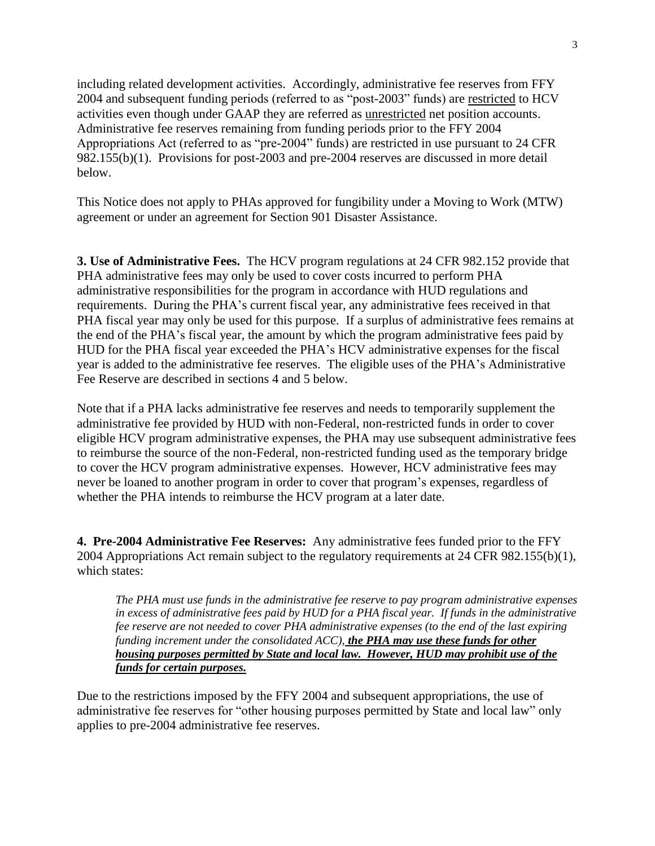including related development activities. Accordingly, administrative fee reserves from FFY 2004 and subsequent funding periods (referred to as "post-2003" funds) are restricted to HCV activities even though under GAAP they are referred as unrestricted net position accounts. Administrative fee reserves remaining from funding periods prior to the FFY 2004 Appropriations Act (referred to as "pre-2004" funds) are restricted in use pursuant to 24 CFR 982.155(b)(1). Provisions for post-2003 and pre-2004 reserves are discussed in more detail below.

This Notice does not apply to PHAs approved for fungibility under a Moving to Work (MTW) agreement or under an agreement for Section 901 Disaster Assistance.

**3. Use of Administrative Fees.** The HCV program regulations at 24 CFR 982.152 provide that PHA administrative fees may only be used to cover costs incurred to perform PHA administrative responsibilities for the program in accordance with HUD regulations and requirements. During the PHA's current fiscal year, any administrative fees received in that PHA fiscal year may only be used for this purpose. If a surplus of administrative fees remains at the end of the PHA's fiscal year, the amount by which the program administrative fees paid by HUD for the PHA fiscal year exceeded the PHA's HCV administrative expenses for the fiscal year is added to the administrative fee reserves. The eligible uses of the PHA's Administrative Fee Reserve are described in sections 4 and 5 below.

Note that if a PHA lacks administrative fee reserves and needs to temporarily supplement the administrative fee provided by HUD with non-Federal, non-restricted funds in order to cover eligible HCV program administrative expenses, the PHA may use subsequent administrative fees to reimburse the source of the non-Federal, non-restricted funding used as the temporary bridge to cover the HCV program administrative expenses. However, HCV administrative fees may never be loaned to another program in order to cover that program's expenses, regardless of whether the PHA intends to reimburse the HCV program at a later date.

**4. Pre-2004 Administrative Fee Reserves:** Any administrative fees funded prior to the FFY 2004 Appropriations Act remain subject to the regulatory requirements at 24 CFR 982.155(b)(1), which states:

*The PHA must use funds in the administrative fee reserve to pay program administrative expenses in excess of administrative fees paid by HUD for a PHA fiscal year. If funds in the administrative fee reserve are not needed to cover PHA administrative expenses (to the end of the last expiring funding increment under the consolidated ACC), the PHA may use these funds for other housing purposes permitted by State and local law. However, HUD may prohibit use of the funds for certain purposes.* 

Due to the restrictions imposed by the FFY 2004 and subsequent appropriations, the use of administrative fee reserves for "other housing purposes permitted by State and local law" only applies to pre-2004 administrative fee reserves.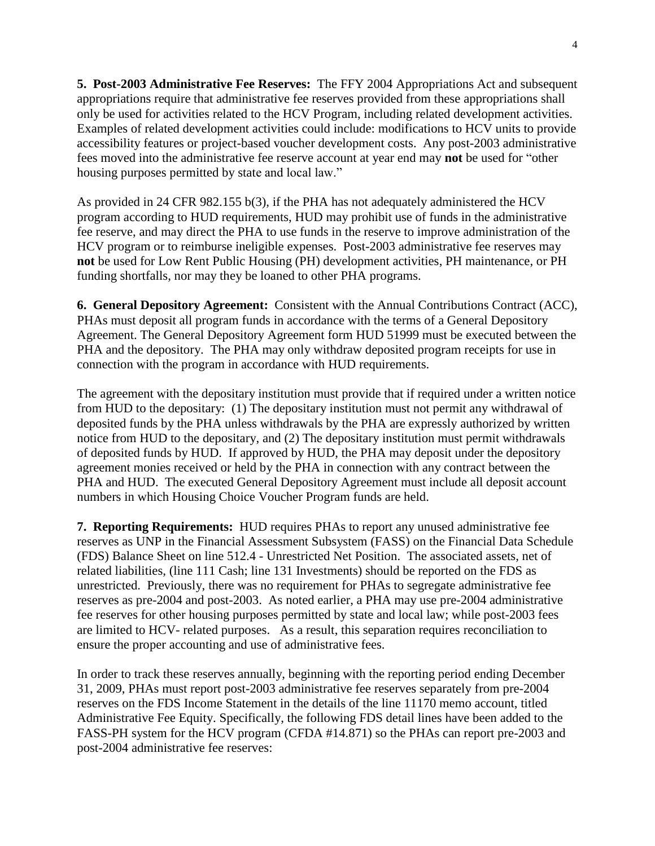**5. Post-2003 Administrative Fee Reserves:** The FFY 2004 Appropriations Act and subsequent appropriations require that administrative fee reserves provided from these appropriations shall only be used for activities related to the HCV Program, including related development activities. Examples of related development activities could include: modifications to HCV units to provide accessibility features or project-based voucher development costs. Any post-2003 administrative fees moved into the administrative fee reserve account at year end may **not** be used for "other housing purposes permitted by state and local law."

As provided in 24 CFR 982.155 b(3), if the PHA has not adequately administered the HCV program according to HUD requirements, HUD may prohibit use of funds in the administrative fee reserve, and may direct the PHA to use funds in the reserve to improve administration of the HCV program or to reimburse ineligible expenses. Post-2003 administrative fee reserves may **not** be used for Low Rent Public Housing (PH) development activities, PH maintenance, or PH funding shortfalls, nor may they be loaned to other PHA programs.

**6. General Depository Agreement:** Consistent with the Annual Contributions Contract (ACC), PHAs must deposit all program funds in accordance with the terms of a General Depository Agreement. The General Depository Agreement form HUD 51999 must be executed between the PHA and the depository. The PHA may only withdraw deposited program receipts for use in connection with the program in accordance with HUD requirements.

The agreement with the depositary institution must provide that if required under a written notice from HUD to the depositary: (1) The depositary institution must not permit any withdrawal of deposited funds by the PHA unless withdrawals by the PHA are expressly authorized by written notice from HUD to the depositary, and (2) The depositary institution must permit withdrawals of deposited funds by HUD. If approved by HUD, the PHA may deposit under the depository agreement monies received or held by the PHA in connection with any contract between the PHA and HUD. The executed General Depository Agreement must include all deposit account numbers in which Housing Choice Voucher Program funds are held.

**7. Reporting Requirements:** HUD requires PHAs to report any unused administrative fee reserves as UNP in the Financial Assessment Subsystem (FASS) on the Financial Data Schedule (FDS) Balance Sheet on line 512.4 - Unrestricted Net Position. The associated assets, net of related liabilities, (line 111 Cash; line 131 Investments) should be reported on the FDS as unrestricted. Previously, there was no requirement for PHAs to segregate administrative fee reserves as pre-2004 and post-2003. As noted earlier, a PHA may use pre-2004 administrative fee reserves for other housing purposes permitted by state and local law; while post-2003 fees are limited to HCV- related purposes. As a result, this separation requires reconciliation to ensure the proper accounting and use of administrative fees.

In order to track these reserves annually, beginning with the reporting period ending December 31, 2009, PHAs must report post-2003 administrative fee reserves separately from pre-2004 reserves on the FDS Income Statement in the details of the line 11170 memo account, titled Administrative Fee Equity. Specifically, the following FDS detail lines have been added to the FASS-PH system for the HCV program (CFDA #14.871) so the PHAs can report pre-2003 and post-2004 administrative fee reserves: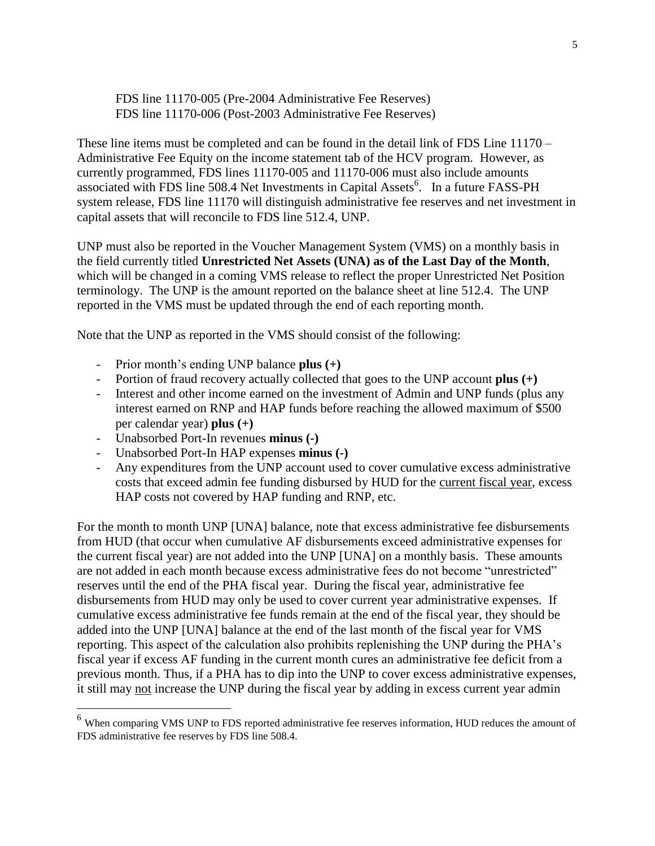FDS line 11170-005 (Pre-2004 Administrative Fee Reserves) FDS line 11170-006 (Post-2003 Administrative Fee Reserves)

These line items must be completed and can be found in the detail link of FDS Line 11170 – Administrative Fee Equity on the income statement tab of the HCV program. However, as currently programmed, FDS lines 11170-005 and 11170-006 must also include amounts associated with FDS line 508.4 Net Investments in Capital Assets<sup>6</sup>. In a future FASS-PH system release, FDS line 11170 will distinguish administrative fee reserves and net investment in capital assets that will reconcile to FDS line 512.4, UNP.

UNP must also be reported in the Voucher Management System (VMS) on a monthly basis in the field currently titled **Unrestricted Net Assets (UNA) as of the Last Day of the Month**, which will be changed in a coming VMS release to reflect the proper Unrestricted Net Position terminology. The UNP is the amount reported on the balance sheet at line 512.4. The UNP reported in the VMS must be updated through the end of each reporting month.

Note that the UNP as reported in the VMS should consist of the following:

- Prior month's ending UNP balance **plus (+)**
- Portion of fraud recovery actually collected that goes to the UNP account **plus (+)**
- Interest and other income earned on the investment of Admin and UNP funds (plus any interest earned on RNP and HAP funds before reaching the allowed maximum of \$500 per calendar year) **plus (+)**
- Unabsorbed Port-In revenues **minus (-)**

 $\overline{a}$ 

- Unabsorbed Port-In HAP expenses **minus (-)**
- Any expenditures from the UNP account used to cover cumulative excess administrative costs that exceed admin fee funding disbursed by HUD for the current fiscal year, excess HAP costs not covered by HAP funding and RNP, etc.

For the month to month UNP [UNA] balance, note that excess administrative fee disbursements from HUD (that occur when cumulative AF disbursements exceed administrative expenses for the current fiscal year) are not added into the UNP [UNA] on a monthly basis. These amounts are not added in each month because excess administrative fees do not become "unrestricted" reserves until the end of the PHA fiscal year. During the fiscal year, administrative fee disbursements from HUD may only be used to cover current year administrative expenses. If cumulative excess administrative fee funds remain at the end of the fiscal year, they should be added into the UNP [UNA] balance at the end of the last month of the fiscal year for VMS reporting. This aspect of the calculation also prohibits replenishing the UNP during the PHA's fiscal year if excess AF funding in the current month cures an administrative fee deficit from a previous month. Thus, if a PHA has to dip into the UNP to cover excess administrative expenses, it still may not increase the UNP during the fiscal year by adding in excess current year admin

<sup>6</sup> When comparing VMS UNP to FDS reported administrative fee reserves information, HUD reduces the amount of FDS administrative fee reserves by FDS line 508.4.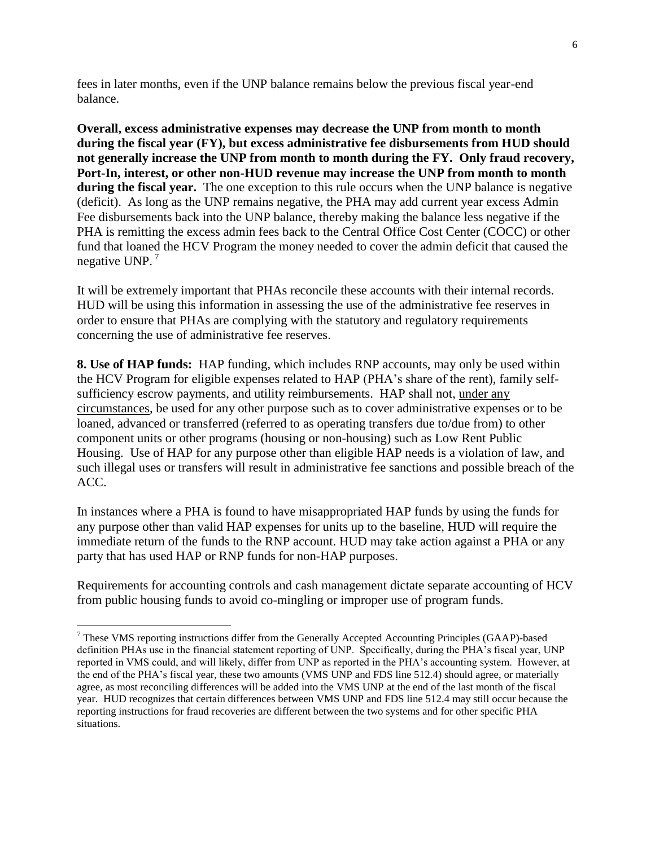fees in later months, even if the UNP balance remains below the previous fiscal year-end balance.

**Overall, excess administrative expenses may decrease the UNP from month to month during the fiscal year (FY), but excess administrative fee disbursements from HUD should not generally increase the UNP from month to month during the FY. Only fraud recovery, Port-In, interest, or other non-HUD revenue may increase the UNP from month to month during the fiscal year.** The one exception to this rule occurs when the UNP balance is negative (deficit). As long as the UNP remains negative, the PHA may add current year excess Admin Fee disbursements back into the UNP balance, thereby making the balance less negative if the PHA is remitting the excess admin fees back to the Central Office Cost Center (COCC) or other fund that loaned the HCV Program the money needed to cover the admin deficit that caused the negative UNP.<sup>7</sup>

It will be extremely important that PHAs reconcile these accounts with their internal records. HUD will be using this information in assessing the use of the administrative fee reserves in order to ensure that PHAs are complying with the statutory and regulatory requirements concerning the use of administrative fee reserves.

**8. Use of HAP funds:** HAP funding, which includes RNP accounts, may only be used within the HCV Program for eligible expenses related to HAP (PHA's share of the rent), family selfsufficiency escrow payments, and utility reimbursements. HAP shall not, under any circumstances, be used for any other purpose such as to cover administrative expenses or to be loaned, advanced or transferred (referred to as operating transfers due to/due from) to other component units or other programs (housing or non-housing) such as Low Rent Public Housing. Use of HAP for any purpose other than eligible HAP needs is a violation of law, and such illegal uses or transfers will result in administrative fee sanctions and possible breach of the ACC.

In instances where a PHA is found to have misappropriated HAP funds by using the funds for any purpose other than valid HAP expenses for units up to the baseline, HUD will require the immediate return of the funds to the RNP account. HUD may take action against a PHA or any party that has used HAP or RNP funds for non-HAP purposes.

Requirements for accounting controls and cash management dictate separate accounting of HCV from public housing funds to avoid co-mingling or improper use of program funds.

 $\overline{a}$ 

<sup>7</sup> These VMS reporting instructions differ from the Generally Accepted Accounting Principles (GAAP)-based definition PHAs use in the financial statement reporting of UNP. Specifically, during the PHA's fiscal year, UNP reported in VMS could, and will likely, differ from UNP as reported in the PHA's accounting system. However, at the end of the PHA's fiscal year, these two amounts (VMS UNP and FDS line 512.4) should agree, or materially agree, as most reconciling differences will be added into the VMS UNP at the end of the last month of the fiscal year. HUD recognizes that certain differences between VMS UNP and FDS line 512.4 may still occur because the reporting instructions for fraud recoveries are different between the two systems and for other specific PHA situations.